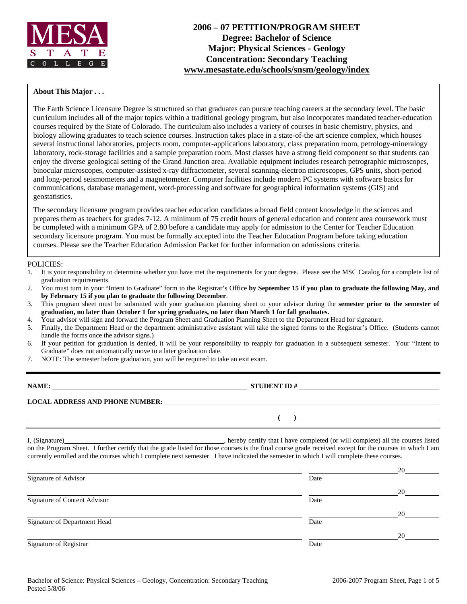

## **About This Major . . .**

The Earth Science Licensure Degree is structured so that graduates can pursue teaching careers at the secondary level. The basic curriculum includes all of the major topics within a traditional geology program, but also incorporates mandated teacher-education courses required by the State of Colorado. The curriculum also includes a variety of courses in basic chemistry, physics, and biology allowing graduates to teach science courses. Instruction takes place in a state-of-the-art science complex, which houses several instructional laboratories, projects room, computer-applications laboratory, class preparation room, petrology-mineralogy laboratory, rock-storage facilities and a sample preparation room. Most classes have a strong field component so that students can enjoy the diverse geological setting of the Grand Junction area. Available equipment includes research petrographic microscopes, binocular microscopes, computer-assisted x-ray diffractometer, several scanning-electron microscopes, GPS units, short-period and long-period seismometers and a magnetometer. Computer facilities include modern PC systems with software basics for communications, database management, word-processing and software for geographical information systems (GIS) and geostatistics.

The secondary licensure program provides teacher education candidates a broad field content knowledge in the sciences and prepares them as teachers for grades 7-12. A minimum of 75 credit hours of general education and content area coursework must be completed with a minimum GPA of 2.80 before a candidate may apply for admission to the Center for Teacher Education secondary licensure program. You must be formally accepted into the Teacher Education Program before taking education courses. Please see the Teacher Education Admission Packet for further information on admissions criteria.

### POLICIES:

- 1. It is your responsibility to determine whether you have met the requirements for your degree. Please see the MSC Catalog for a complete list of graduation requirements.
- 2. You must turn in your "Intent to Graduate" form to the Registrar's Office **by September 15 if you plan to graduate the following May, and by February 15 if you plan to graduate the following December**.
- 3. This program sheet must be submitted with your graduation planning sheet to your advisor during the **semester prior to the semester of graduation, no later than October 1 for spring graduates, no later than March 1 for fall graduates.**
- 4. Your advisor will sign and forward the Program Sheet and Graduation Planning Sheet to the Department Head for signature.
- 5. Finally, the Department Head or the department administrative assistant will take the signed forms to the Registrar's Office. (Students cannot handle the forms once the advisor signs.)
- 6. If your petition for graduation is denied, it will be your responsibility to reapply for graduation in a subsequent semester. Your "Intent to Graduate" does not automatically move to a later graduation date.
- 7. NOTE: The semester before graduation, you will be required to take an exit exam.

| NAME:                                  | <b>STUDENT ID#</b> |
|----------------------------------------|--------------------|
| <b>LOCAL ADDRESS AND PHONE NUMBER:</b> |                    |
|                                        |                    |

I, (Signature) , hereby certify that I have completed (or will complete) all the courses listed on the Program Sheet. I further certify that the grade listed for those courses is the final course grade received except for the courses in which I am currently enrolled and the courses which I complete next semester. I have indicated the semester in which I will complete these courses.

|                              |      | 20 |
|------------------------------|------|----|
| Signature of Advisor         | Date |    |
|                              |      | 20 |
| Signature of Content Advisor | Date |    |
|                              |      | 20 |
| Signature of Department Head | Date |    |
|                              |      | 20 |
| Signature of Registrar       | Date |    |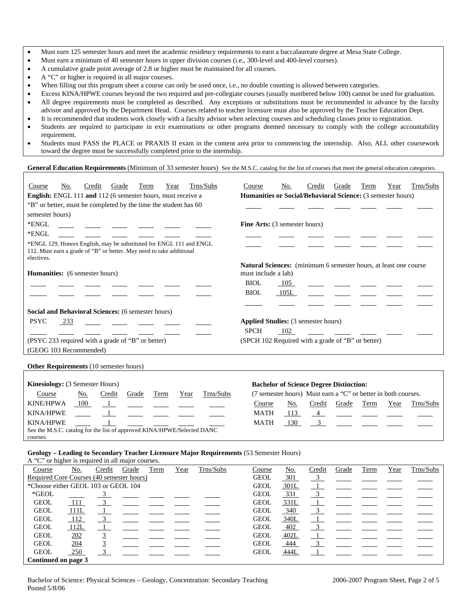- Must earn 125 semester hours and meet the academic residency requirements to earn a baccalaureate degree at Mesa State College.
- Must earn a minimum of 40 semester hours in upper division courses (i.e., 300-level and 400-level courses).
- A cumulative grade point average of 2.8 or higher must be maintained for all courses.
- A "C" or higher is required in all major courses.
- When filling out this program sheet a course can only be used once, i.e., no double counting is allowed between categories.
- Excess KINA/HPWE courses beyond the two required and pre-collegiate courses (usually numbered below 100) cannot be used for graduation. • All degree requirements must be completed as described. Any exceptions or substitutions must be recommended in advance by the faculty
- advisor and approved by the Department Head. Courses related to teacher licensure must also be approved by the Teacher Education Dept.
- It is recommended that students work closely with a faculty advisor when selecting courses and scheduling classes prior to registration.
- Students are required to participate in exit examinations or other programs deemed necessary to comply with the college accountability requirement.
- Students must PASS the PLACE or PRAXIS II exam in the content area prior to commencing the internship. Also, ALL other coursework toward the degree must be successfully completed prior to the internship.

#### General Education Requirements (Minimum of 33 semester hours) See the M.S.C. catalog for the list of courses that meet the general education categories.

| Trns/Subs<br>No.<br>Credit<br>Grade<br>Term<br>Year<br>Course                                                                                             | Trns/Subs<br>No.<br>Grade<br>Year<br>Term<br>Course<br>Credit    |
|-----------------------------------------------------------------------------------------------------------------------------------------------------------|------------------------------------------------------------------|
| <b>English:</b> ENGL 111 and 112 (6 semester hours, must receive a                                                                                        | Humanities or Social/Behavioral Science: (3 semester hours)      |
| "B" or better, must be completed by the time the student has 60                                                                                           |                                                                  |
| semester hours)                                                                                                                                           |                                                                  |
| *ENGL                                                                                                                                                     | <b>Fine Arts:</b> (3 semester hours)                             |
| *ENGL                                                                                                                                                     |                                                                  |
| *ENGL 129, Honors English, may be substituted for ENGL 111 and ENGL<br>112. Must earn a grade of "B" or better. May need to take additional<br>electives. |                                                                  |
|                                                                                                                                                           | Natural Sciences: (minimum 6 semester hours, at least one course |
| <b>Humanities:</b> (6 semester hours)                                                                                                                     | must include a lab)                                              |
|                                                                                                                                                           | <b>BIOL</b><br>105                                               |
|                                                                                                                                                           | <b>BIOL</b><br>105L                                              |
|                                                                                                                                                           |                                                                  |
| Social and Behavioral Sciences: (6 semester hours)                                                                                                        |                                                                  |
| <b>PSYC</b><br>233                                                                                                                                        | <b>Applied Studies:</b> (3 semester hours)                       |
|                                                                                                                                                           | <b>SPCH</b><br>102                                               |
| (PSYC 233 required with a grade of "B" or better)                                                                                                         | (SPCH 102 Required with a grade of "B" or better)                |
| (GEOG 103 Recommended)                                                                                                                                    |                                                                  |

#### **Other Requirements** (10 semester hours)

| <b>Kinesiology:</b> (3 Semester Hours) | <b>Bachelor of Science Degree Distinction:</b>                          |                                                                                                                    |       |      |      |           |                                                               |     |        |                                                                                                                                                                                                                                                                                                         |      |      |                                                                                                 |
|----------------------------------------|-------------------------------------------------------------------------|--------------------------------------------------------------------------------------------------------------------|-------|------|------|-----------|---------------------------------------------------------------|-----|--------|---------------------------------------------------------------------------------------------------------------------------------------------------------------------------------------------------------------------------------------------------------------------------------------------------------|------|------|-------------------------------------------------------------------------------------------------|
| Course                                 | <u>No.</u>                                                              | Credit                                                                                                             | Grade | Term | Year | Trns/Subs | (7 semester hours) Must earn a "C" or better in both courses. |     |        |                                                                                                                                                                                                                                                                                                         |      |      |                                                                                                 |
| KINE/HPWA                              | 100                                                                     |                                                                                                                    |       |      |      |           | Course                                                        | No. | Credit | Grade                                                                                                                                                                                                                                                                                                   | Term | Year | Trns/Subs                                                                                       |
| KINA/HPWE                              |                                                                         | $\mathbf{1}$ and $\mathbf{1}$ and $\mathbf{1}$ and $\mathbf{1}$ and $\mathbf{1}$ and $\mathbf{1}$ and $\mathbf{1}$ |       |      |      |           | <b>MATH</b>                                                   | 113 |        |                                                                                                                                                                                                                                                                                                         |      |      | $\frac{4}{\sqrt{2}}$ and $\frac{4}{\sqrt{2}}$ and $\frac{4}{\sqrt{2}}$ and $\frac{4}{\sqrt{2}}$ |
| <b>KINA/HPWE</b>                       |                                                                         |                                                                                                                    |       |      |      |           | <b>MATH</b>                                                   | 130 |        | $\beta$ and $\beta$ and $\beta$ and $\beta$ and $\beta$ and $\beta$ and $\beta$ and $\beta$ and $\beta$ and $\beta$ and $\beta$ and $\beta$ and $\beta$ and $\beta$ and $\beta$ and $\beta$ and $\beta$ and $\beta$ and $\beta$ and $\beta$ and $\beta$ and $\beta$ and $\beta$ and $\beta$ and $\beta$ |      |      |                                                                                                 |
|                                        | See the M.S.C. catalog for the list of approved KINA/HPWE/Selected DANC |                                                                                                                    |       |      |      |           |                                                               |     |        |                                                                                                                                                                                                                                                                                                         |      |      |                                                                                                 |
| courses.                               |                                                                         |                                                                                                                    |       |      |      |           |                                                               |     |        |                                                                                                                                                                                                                                                                                                         |      |      |                                                                                                 |

#### **Geology – Leading to Secondary Teacher Licensure Major Requirements** (53 Semester Hours)

A "C" or higher is required in all major courses.

| Course                                    | No.  | Credit         | Grade | Term | Year | Trns/Subs | Course      | No.        | Credit | Grade | Term | Year | Trns/Subs |
|-------------------------------------------|------|----------------|-------|------|------|-----------|-------------|------------|--------|-------|------|------|-----------|
| Required Core Courses (40 semester hours) |      |                |       |      |      |           | <b>GEOL</b> | <u>301</u> | 3      |       |      |      |           |
| *Choose either GEOL 103 or GEOL 104       |      |                |       |      |      |           | <b>GEOL</b> | 301L       |        |       |      |      |           |
| *GEOL                                     |      |                |       |      |      |           | <b>GEOL</b> | 331        |        |       |      |      |           |
| <b>GEOL</b>                               | -111 |                |       |      |      |           | <b>GEOL</b> | 331L       |        |       |      |      |           |
| <b>GEOL</b>                               | 111L |                |       |      |      |           | <b>GEOL</b> | 340        |        |       |      |      |           |
| <b>GEOL</b>                               | 112  | $\overline{3}$ |       |      |      |           | <b>GEOL</b> | 340L       |        |       |      |      |           |
| <b>GEOL</b>                               | 112L |                |       |      |      |           | <b>GEOL</b> | 402        |        |       |      |      |           |
| <b>GEOL</b>                               | 202  |                |       |      |      |           | <b>GEOL</b> | 402L       |        |       |      |      |           |
| <b>GEOL</b>                               | 204  |                |       |      |      |           | <b>GEOL</b> | 444        |        |       |      |      |           |
| <b>GEOL</b>                               | 250  |                |       |      |      |           | <b>GEOL</b> | 444L       |        |       |      |      |           |
| Continued on page 3                       |      |                |       |      |      |           |             |            |        |       |      |      |           |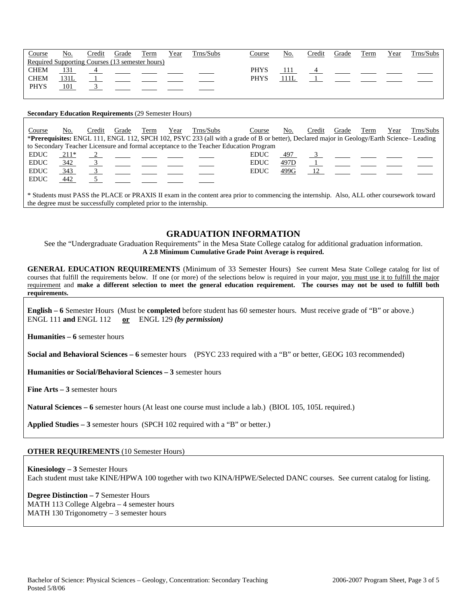| <u>Course</u> | <u>No.</u>                                      | Credit | Grade | Term | Year | Trns/Subs | Course      | No. | Credit | Grade | Term | Year | Trns/Subs |
|---------------|-------------------------------------------------|--------|-------|------|------|-----------|-------------|-----|--------|-------|------|------|-----------|
|               | Required Supporting Courses (13 semester hours) |        |       |      |      |           |             |     |        |       |      |      |           |
| <b>CHEM</b>   |                                                 |        |       |      |      |           | <b>PHYS</b> |     |        |       |      |      |           |
| <b>CHEM</b>   | <u> 131L</u>                                    |        |       |      |      |           | <b>PHYS</b> |     |        |       |      |      |           |
| <b>PHYS</b>   | 101                                             |        |       |      |      |           |             |     |        |       |      |      |           |
|               |                                                 |        |       |      |      |           |             |     |        |       |      |      |           |

#### **Secondary Education Requirements** (29 Semester Hours)

| Course      | No.  | Credit | Grade | Term | Year | Trns/Subs | Course                                                                                                                                    | No.  | Credit | Grade                                                                                                                       | Term | Year | Trns/Subs |
|-------------|------|--------|-------|------|------|-----------|-------------------------------------------------------------------------------------------------------------------------------------------|------|--------|-----------------------------------------------------------------------------------------------------------------------------|------|------|-----------|
|             |      |        |       |      |      |           | *Prerequisites: ENGL 111, ENGL 112, SPCH 102, PSYC 233 (all with a grade of B or better), Declared major in Geology/Earth Science-Leading |      |        |                                                                                                                             |      |      |           |
|             |      |        |       |      |      |           | to Secondary Teacher Licensure and formal acceptance to the Teacher Education Program                                                     |      |        |                                                                                                                             |      |      |           |
| <b>EDUC</b> | 211* |        |       |      |      |           | <b>EDUC</b>                                                                                                                               | 497  |        | $\overline{\mathbf{3}}$ $\overline{\phantom{0}}$ $\overline{\phantom{0}}$ $\overline{\phantom{0}}$ $\overline{\phantom{0}}$ |      |      |           |
| <b>EDUC</b> | 342  |        |       |      |      |           | <b>EDUC</b>                                                                                                                               | 497D |        |                                                                                                                             |      |      |           |
| <b>EDUC</b> | 343  |        |       |      |      |           | <b>EDUC</b>                                                                                                                               | 499G | 12     |                                                                                                                             |      |      |           |
| <b>EDUC</b> | 442  |        |       |      |      |           |                                                                                                                                           |      |        |                                                                                                                             |      |      |           |
|             |      |        |       |      |      |           |                                                                                                                                           |      |        |                                                                                                                             |      |      |           |

\* Students must PASS the PLACE or PRAXIS II exam in the content area prior to commencing the internship. Also, ALL other coursework toward the degree must be successfully completed prior to the internship.

## **GRADUATION INFORMATION**

See the "Undergraduate Graduation Requirements" in the Mesa State College catalog for additional graduation information. **A 2.8 Minimum Cumulative Grade Point Average is required.**

**GENERAL EDUCATION REQUIREMENTS** (Minimum of 33 Semester Hours) See current Mesa State College catalog for list of courses that fulfill the requirements below. If one (or more) of the selections below is required in your major, you must use it to fulfill the major requirement and **make a different selection to meet the general education requirement. The courses may not be used to fulfill both requirements.**

**English – 6** Semester Hours (Must be **completed** before student has 60 semester hours. Must receive grade of "B" or above.) ENGL 111 **and** ENGL 112 **or** ENGL 129 *(by permission)*

**Humanities – 6** semester hours

**Social and Behavioral Sciences – 6** semester hours (PSYC 233 required with a "B" or better, GEOG 103 recommended)

**Humanities or Social/Behavioral Sciences – 3** semester hours

**Fine Arts – 3** semester hours

**Natural Sciences – 6** semester hours (At least one course must include a lab.) (BIOL 105, 105L required.)

**Applied Studies – 3** semester hours (SPCH 102 required with a "B" or better.)

### **OTHER REQUIREMENTS** (10 Semester Hours)

**Kinesiology – 3** Semester Hours Each student must take KINE/HPWA 100 together with two KINA/HPWE/Selected DANC courses. See current catalog for listing.

**Degree Distinction – 7** Semester Hours MATH 113 College Algebra – 4 semester hours

MATH 130 Trigonometry – 3 semester hours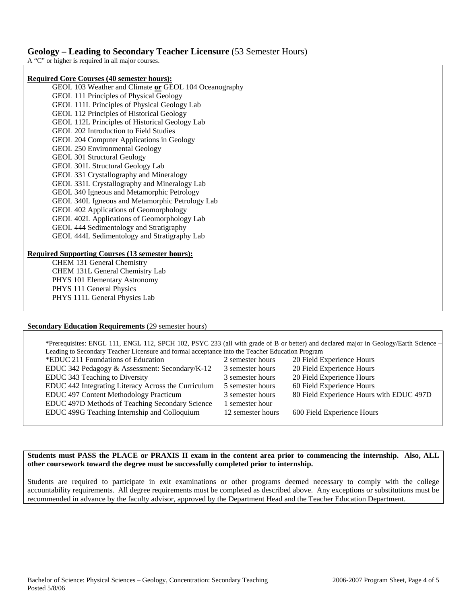# **Geology – Leading to Secondary Teacher Licensure** (53 Semester Hours)

A "C" or higher is required in all major courses.

### **Required Core Courses (40 semester hours):**

GEOL 103 Weather and Climate **or** GEOL 104 Oceanography GEOL 111 Principles of Physical Geology GEOL 111L Principles of Physical Geology Lab GEOL 112 Principles of Historical Geology GEOL 112L Principles of Historical Geology Lab GEOL 202 Introduction to Field Studies GEOL 204 Computer Applications in Geology GEOL 250 Environmental Geology GEOL 301 Structural Geology GEOL 301L Structural Geology Lab GEOL 331 Crystallography and Mineralogy GEOL 331L Crystallography and Mineralogy Lab GEOL 340 Igneous and Metamorphic Petrology GEOL 340L Igneous and Metamorphic Petrology Lab GEOL 402 Applications of Geomorphology GEOL 402L Applications of Geomorphology Lab GEOL 444 Sedimentology and Stratigraphy GEOL 444L Sedimentology and Stratigraphy Lab

### **Required Supporting Courses (13 semester hours):**

CHEM 131 General Chemistry CHEM 131L General Chemistry Lab PHYS 101 Elementary Astronomy PHYS 111 General Physics PHYS 111L General Physics Lab

### **Secondary Education Requirements** (29 semester hours)

\*Prerequisites: ENGL 111, ENGL 112, SPCH 102, PSYC 233 (all with grade of B or better) and declared major in Geology/Earth Science – Leading to Secondary Teacher Licensure and formal acceptance into the Teacher Education Program \*EDUC 211 Foundations of Education 2 semester hours 20 Field Experience Hours EDUC 342 Pedagogy & Assessment: Secondary/K-12 3 semester hours 20 Field Experience Hours EDUC 343 Teaching to Diversity 3 semester hours 20 Field Experience Hours EDUC 442 Integrating Literacy Across the Curriculum 5 semester hours 60 Field Experience Hours EDUC 497 Content Methodology Practicum 3 semester hours 80 Field Experience Hours with EDUC 497D EDUC 497D Methods of Teaching Secondary Science 1 semester hour EDUC 499G Teaching Internship and Colloquium 12 semester hours 600 Field Experience Hours

## **Students must PASS the PLACE or PRAXIS II exam in the content area prior to commencing the internship. Also, ALL other coursework toward the degree must be successfully completed prior to internship.**

Students are required to participate in exit examinations or other programs deemed necessary to comply with the college accountability requirements. All degree requirements must be completed as described above. Any exceptions or substitutions must be recommended in advance by the faculty advisor, approved by the Department Head and the Teacher Education Department.